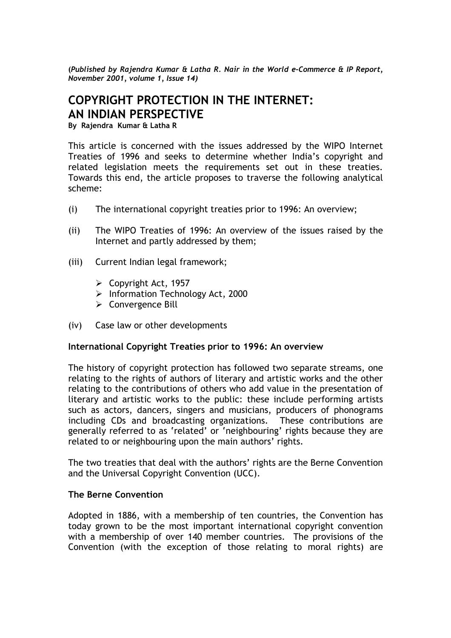**(***Published by Rajendra Kumar & Latha R. Nair in the World e-Commerce & IP Report, November 2001, volume 1, Issue 14)* 

# **COPYRIGHT PROTECTION IN THE INTERNET: AN INDIAN PERSPECTIVE**

**By Rajendra Kumar & Latha R** 

This article is concerned with the issues addressed by the WIPO Internet Treaties of 1996 and seeks to determine whether India's copyright and related legislation meets the requirements set out in these treaties. Towards this end, the article proposes to traverse the following analytical scheme:

- (i) The international copyright treaties prior to 1996: An overview;
- (ii) The WIPO Treaties of 1996: An overview of the issues raised by the Internet and partly addressed by them;
- (iii) Current Indian legal framework;
	- $\triangleright$  Copyright Act, 1957
	- ¾ Information Technology Act, 2000
	- $\triangleright$  Convergence Bill
- (iv) Case law or other developments

#### **International Copyright Treaties prior to 1996: An overview**

The history of copyright protection has followed two separate streams, one relating to the rights of authors of literary and artistic works and the other relating to the contributions of others who add value in the presentation of literary and artistic works to the public: these include performing artists such as actors, dancers, singers and musicians, producers of phonograms including CDs and broadcasting organizations. These contributions are generally referred to as 'related' or 'neighbouring' rights because they are related to or neighbouring upon the main authors' rights.

The two treaties that deal with the authors' rights are the Berne Convention and the Universal Copyright Convention (UCC).

#### **The Berne Convention**

Adopted in 1886, with a membership of ten countries, the Convention has today grown to be the most important international copyright convention with a membership of over 140 member countries. The provisions of the Convention (with the exception of those relating to moral rights) are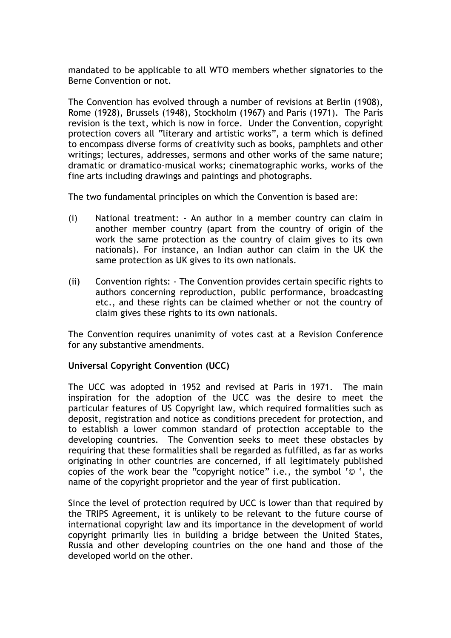mandated to be applicable to all WTO members whether signatories to the Berne Convention or not.

The Convention has evolved through a number of revisions at Berlin (1908), Rome (1928), Brussels (1948), Stockholm (1967) and Paris (1971). The Paris revision is the text, which is now in force. Under the Convention, copyright protection covers all "literary and artistic works", a term which is defined to encompass diverse forms of creativity such as books, pamphlets and other writings; lectures, addresses, sermons and other works of the same nature; dramatic or dramatico-musical works; cinematographic works, works of the fine arts including drawings and paintings and photographs.

The two fundamental principles on which the Convention is based are:

- (i) National treatment: An author in a member country can claim in another member country (apart from the country of origin of the work the same protection as the country of claim gives to its own nationals). For instance, an Indian author can claim in the UK the same protection as UK gives to its own nationals.
- (ii) Convention rights: The Convention provides certain specific rights to authors concerning reproduction, public performance, broadcasting etc., and these rights can be claimed whether or not the country of claim gives these rights to its own nationals.

The Convention requires unanimity of votes cast at a Revision Conference for any substantive amendments.

## **Universal Copyright Convention (UCC)**

The UCC was adopted in 1952 and revised at Paris in 1971. The main inspiration for the adoption of the UCC was the desire to meet the particular features of US Copyright law, which required formalities such as deposit, registration and notice as conditions precedent for protection, and to establish a lower common standard of protection acceptable to the developing countries. The Convention seeks to meet these obstacles by requiring that these formalities shall be regarded as fulfilled, as far as works originating in other countries are concerned, if all legitimately published copies of the work bear the "copyright notice" i.e., the symbol '© ', the name of the copyright proprietor and the year of first publication.

Since the level of protection required by UCC is lower than that required by the TRIPS Agreement, it is unlikely to be relevant to the future course of international copyright law and its importance in the development of world copyright primarily lies in building a bridge between the United States, Russia and other developing countries on the one hand and those of the developed world on the other.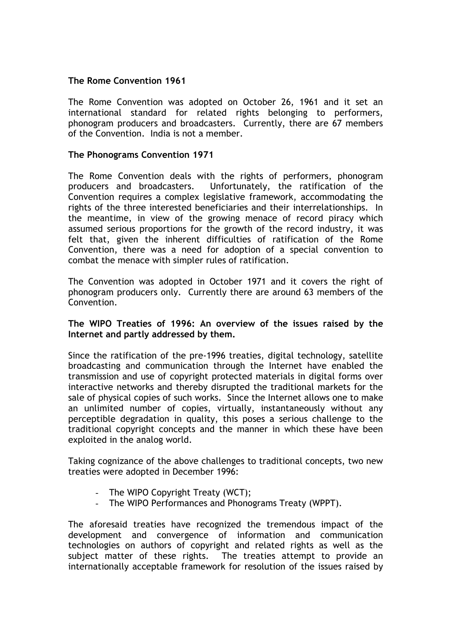## **The Rome Convention 1961**

The Rome Convention was adopted on October 26, 1961 and it set an international standard for related rights belonging to performers, phonogram producers and broadcasters. Currently, there are 67 members of the Convention. India is not a member.

## **The Phonograms Convention 1971**

The Rome Convention deals with the rights of performers, phonogram producers and broadcasters. Unfortunately, the ratification of the Convention requires a complex legislative framework, accommodating the rights of the three interested beneficiaries and their interrelationships. In the meantime, in view of the growing menace of record piracy which assumed serious proportions for the growth of the record industry, it was felt that, given the inherent difficulties of ratification of the Rome Convention, there was a need for adoption of a special convention to combat the menace with simpler rules of ratification.

The Convention was adopted in October 1971 and it covers the right of phonogram producers only. Currently there are around 63 members of the Convention.

#### **The WIPO Treaties of 1996: An overview of the issues raised by the Internet and partly addressed by them.**

Since the ratification of the pre-1996 treaties, digital technology, satellite broadcasting and communication through the Internet have enabled the transmission and use of copyright protected materials in digital forms over interactive networks and thereby disrupted the traditional markets for the sale of physical copies of such works. Since the Internet allows one to make an unlimited number of copies, virtually, instantaneously without any perceptible degradation in quality, this poses a serious challenge to the traditional copyright concepts and the manner in which these have been exploited in the analog world.

Taking cognizance of the above challenges to traditional concepts, two new treaties were adopted in December 1996:

- The WIPO Copyright Treaty (WCT);
- The WIPO Performances and Phonograms Treaty (WPPT).

The aforesaid treaties have recognized the tremendous impact of the development and convergence of information and communication technologies on authors of copyright and related rights as well as the subject matter of these rights. The treaties attempt to provide an internationally acceptable framework for resolution of the issues raised by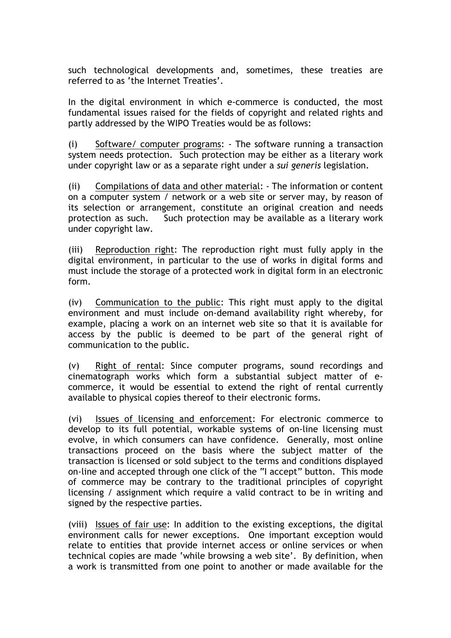such technological developments and, sometimes, these treaties are referred to as 'the Internet Treaties'.

In the digital environment in which e-commerce is conducted, the most fundamental issues raised for the fields of copyright and related rights and partly addressed by the WIPO Treaties would be as follows:

(i) Software/ computer programs: - The software running a transaction system needs protection. Such protection may be either as a literary work under copyright law or as a separate right under a *sui generis* legislation.

(ii) Compilations of data and other material: - The information or content on a computer system / network or a web site or server may, by reason of its selection or arrangement, constitute an original creation and needs protection as such. Such protection may be available as a literary work under copyright law.

(iii) Reproduction right: The reproduction right must fully apply in the digital environment, in particular to the use of works in digital forms and must include the storage of a protected work in digital form in an electronic form.

(iv) Communication to the public: This right must apply to the digital environment and must include on-demand availability right whereby, for example, placing a work on an internet web site so that it is available for access by the public is deemed to be part of the general right of communication to the public.

(v) Right of rental: Since computer programs, sound recordings and cinematograph works which form a substantial subject matter of ecommerce, it would be essential to extend the right of rental currently available to physical copies thereof to their electronic forms.

(vi) Issues of licensing and enforcement: For electronic commerce to develop to its full potential, workable systems of on-line licensing must evolve, in which consumers can have confidence. Generally, most online transactions proceed on the basis where the subject matter of the transaction is licensed or sold subject to the terms and conditions displayed on-line and accepted through one click of the "I accept" button. This mode of commerce may be contrary to the traditional principles of copyright licensing / assignment which require a valid contract to be in writing and signed by the respective parties.

(viii) Issues of fair use: In addition to the existing exceptions, the digital environment calls for newer exceptions. One important exception would relate to entities that provide internet access or online services or when technical copies are made 'while browsing a web site'. By definition, when a work is transmitted from one point to another or made available for the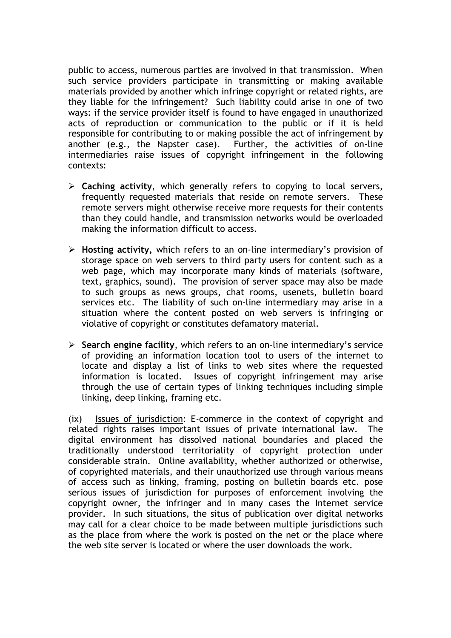public to access, numerous parties are involved in that transmission. When such service providers participate in transmitting or making available materials provided by another which infringe copyright or related rights, are they liable for the infringement? Such liability could arise in one of two ways: if the service provider itself is found to have engaged in unauthorized acts of reproduction or communication to the public or if it is held responsible for contributing to or making possible the act of infringement by another (e.g., the Napster case). Further, the activities of on-line intermediaries raise issues of copyright infringement in the following contexts:

- ¾ **Caching activity**, which generally refers to copying to local servers, frequently requested materials that reside on remote servers. These remote servers might otherwise receive more requests for their contents than they could handle, and transmission networks would be overloaded making the information difficult to access.
- ¾ **Hosting activity,** which refers to an on-line intermediary's provision of storage space on web servers to third party users for content such as a web page, which may incorporate many kinds of materials (software, text, graphics, sound). The provision of server space may also be made to such groups as news groups, chat rooms, usenets, bulletin board services etc. The liability of such on-line intermediary may arise in a situation where the content posted on web servers is infringing or violative of copyright or constitutes defamatory material.
- ¾ **Search engine facility**, which refers to an on-line intermediary's service of providing an information location tool to users of the internet to locate and display a list of links to web sites where the requested information is located. Issues of copyright infringement may arise through the use of certain types of linking techniques including simple linking, deep linking, framing etc.

(ix) Issues of jurisdiction: E-commerce in the context of copyright and related rights raises important issues of private international law. The digital environment has dissolved national boundaries and placed the traditionally understood territoriality of copyright protection under considerable strain. Online availability, whether authorized or otherwise, of copyrighted materials, and their unauthorized use through various means of access such as linking, framing, posting on bulletin boards etc. pose serious issues of jurisdiction for purposes of enforcement involving the copyright owner, the infringer and in many cases the Internet service provider. In such situations, the situs of publication over digital networks may call for a clear choice to be made between multiple jurisdictions such as the place from where the work is posted on the net or the place where the web site server is located or where the user downloads the work.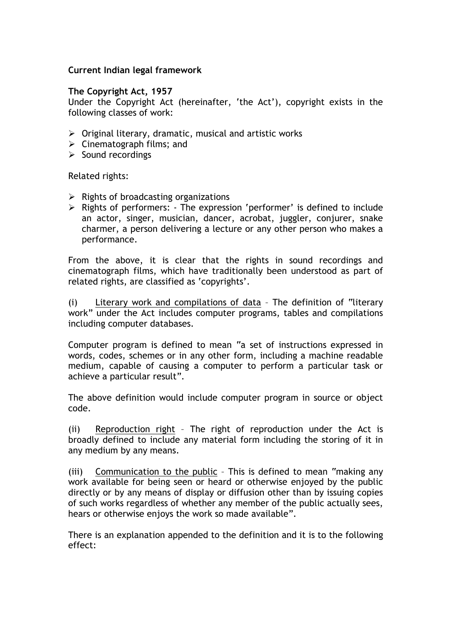#### **Current Indian legal framework**

#### **The Copyright Act, 1957**

Under the Copyright Act (hereinafter, 'the Act'), copyright exists in the following classes of work:

- $\triangleright$  Original literary, dramatic, musical and artistic works
- $\triangleright$  Cinematograph films; and
- $\triangleright$  Sound recordings

Related rights:

- $\triangleright$  Rights of broadcasting organizations
- ¾ Rights of performers: The expression 'performer' is defined to include an actor, singer, musician, dancer, acrobat, juggler, conjurer, snake charmer, a person delivering a lecture or any other person who makes a performance.

From the above, it is clear that the rights in sound recordings and cinematograph films, which have traditionally been understood as part of related rights, are classified as 'copyrights'.

(i) Literary work and compilations of data – The definition of "literary work" under the Act includes computer programs, tables and compilations including computer databases.

Computer program is defined to mean "a set of instructions expressed in words, codes, schemes or in any other form, including a machine readable medium, capable of causing a computer to perform a particular task or achieve a particular result".

The above definition would include computer program in source or object code.

(ii) Reproduction right – The right of reproduction under the Act is broadly defined to include any material form including the storing of it in any medium by any means.

(iii) Communication to the public – This is defined to mean "making any work available for being seen or heard or otherwise enjoyed by the public directly or by any means of display or diffusion other than by issuing copies of such works regardless of whether any member of the public actually sees, hears or otherwise enjoys the work so made available".

There is an explanation appended to the definition and it is to the following effect: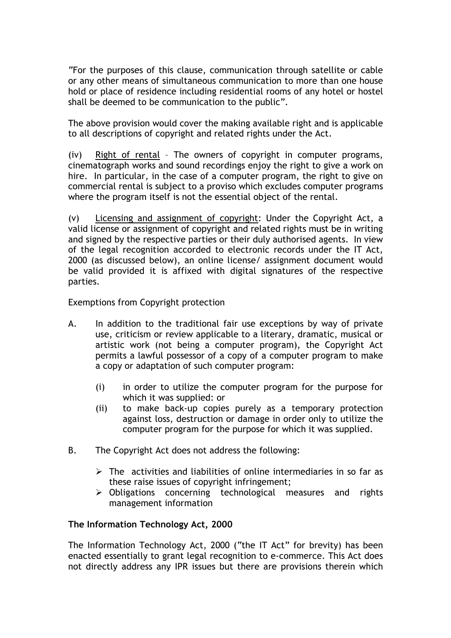"For the purposes of this clause, communication through satellite or cable or any other means of simultaneous communication to more than one house hold or place of residence including residential rooms of any hotel or hostel shall be deemed to be communication to the public".

The above provision would cover the making available right and is applicable to all descriptions of copyright and related rights under the Act.

(iv) Right of rental – The owners of copyright in computer programs, cinematograph works and sound recordings enjoy the right to give a work on hire. In particular, in the case of a computer program, the right to give on commercial rental is subject to a proviso which excludes computer programs where the program itself is not the essential object of the rental.

(v) Licensing and assignment of copyright: Under the Copyright Act, a valid license or assignment of copyright and related rights must be in writing and signed by the respective parties or their duly authorised agents. In view of the legal recognition accorded to electronic records under the IT Act, 2000 (as discussed below), an online license/ assignment document would be valid provided it is affixed with digital signatures of the respective parties.

Exemptions from Copyright protection

- A. In addition to the traditional fair use exceptions by way of private use, criticism or review applicable to a literary, dramatic, musical or artistic work (not being a computer program), the Copyright Act permits a lawful possessor of a copy of a computer program to make a copy or adaptation of such computer program:
	- (i) in order to utilize the computer program for the purpose for which it was supplied: or
	- (ii) to make back-up copies purely as a temporary protection against loss, destruction or damage in order only to utilize the computer program for the purpose for which it was supplied.
- B. The Copyright Act does not address the following:
	- $\triangleright$  The activities and liabilities of online intermediaries in so far as these raise issues of copyright infringement;
	- ¾ Obligations concerning technological measures and rights management information

## **The Information Technology Act, 2000**

The Information Technology Act, 2000 ("the IT Act" for brevity) has been enacted essentially to grant legal recognition to e-commerce. This Act does not directly address any IPR issues but there are provisions therein which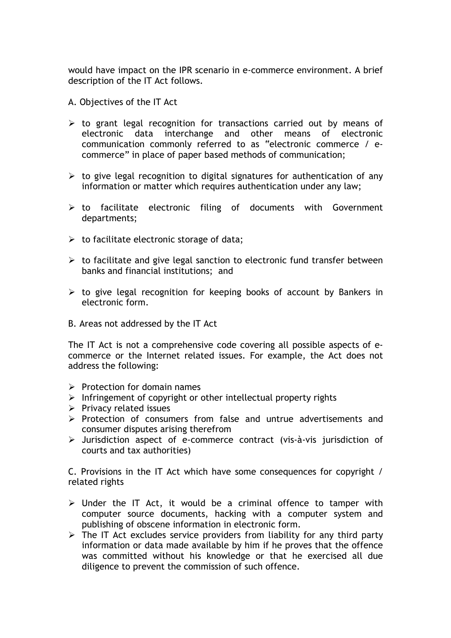would have impact on the IPR scenario in e-commerce environment. A brief description of the IT Act follows.

- A. Objectives of the IT Act
- $\triangleright$  to grant legal recognition for transactions carried out by means of electronic data interchange and other means of electronic communication commonly referred to as "electronic commerce / ecommerce" in place of paper based methods of communication;
- $\triangleright$  to give legal recognition to digital signatures for authentication of any information or matter which requires authentication under any law;
- $\triangleright$  to facilitate electronic filing of documents with Government departments;
- $\triangleright$  to facilitate electronic storage of data;
- $\triangleright$  to facilitate and give legal sanction to electronic fund transfer between banks and financial institutions; and
- $\triangleright$  to give legal recognition for keeping books of account by Bankers in electronic form.
- B. Areas not addressed by the IT Act

The IT Act is not a comprehensive code covering all possible aspects of ecommerce or the Internet related issues. For example, the Act does not address the following:

- $\triangleright$  Protection for domain names
- $\triangleright$  Infringement of copyright or other intellectual property rights
- $\triangleright$  Privacy related issues
- $\triangleright$  Protection of consumers from false and untrue advertisements and consumer disputes arising therefrom
- ¾ Jurisdiction aspect of e-commerce contract (vis-à-vis jurisdiction of courts and tax authorities)

C. Provisions in the IT Act which have some consequences for copyright / related rights

- $\triangleright$  Under the IT Act, it would be a criminal offence to tamper with computer source documents, hacking with a computer system and publishing of obscene information in electronic form.
- $\triangleright$  The IT Act excludes service providers from liability for any third party information or data made available by him if he proves that the offence was committed without his knowledge or that he exercised all due diligence to prevent the commission of such offence.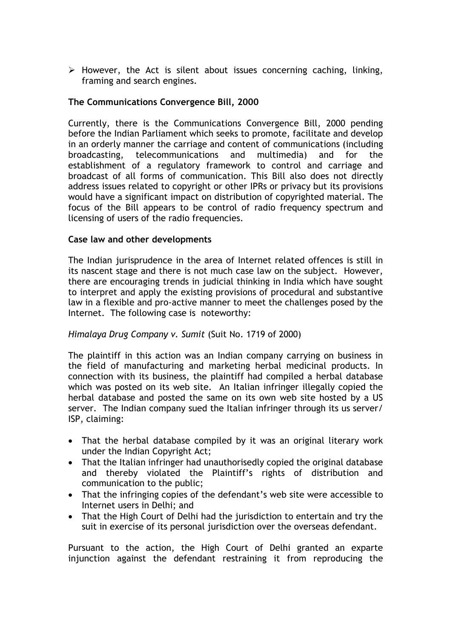$\triangleright$  However, the Act is silent about issues concerning caching, linking, framing and search engines.

## **The Communications Convergence Bill, 2000**

Currently, there is the Communications Convergence Bill, 2000 pending before the Indian Parliament which seeks to promote, facilitate and develop in an orderly manner the carriage and content of communications (including broadcasting, telecommunications and multimedia) and for the establishment of a regulatory framework to control and carriage and broadcast of all forms of communication. This Bill also does not directly address issues related to copyright or other IPRs or privacy but its provisions would have a significant impact on distribution of copyrighted material. The focus of the Bill appears to be control of radio frequency spectrum and licensing of users of the radio frequencies.

#### **Case law and other developments**

The Indian jurisprudence in the area of Internet related offences is still in its nascent stage and there is not much case law on the subject. However, there are encouraging trends in judicial thinking in India which have sought to interpret and apply the existing provisions of procedural and substantive law in a flexible and pro-active manner to meet the challenges posed by the Internet. The following case is noteworthy:

## *Himalaya Drug Company v. Sumit* (Suit No. 1719 of 2000)

The plaintiff in this action was an Indian company carrying on business in the field of manufacturing and marketing herbal medicinal products. In connection with its business, the plaintiff had compiled a herbal database which was posted on its web site. An Italian infringer illegally copied the herbal database and posted the same on its own web site hosted by a US server. The Indian company sued the Italian infringer through its us server/ ISP, claiming:

- That the herbal database compiled by it was an original literary work under the Indian Copyright Act;
- That the Italian infringer had unauthorisedly copied the original database and thereby violated the Plaintiff's rights of distribution and communication to the public;
- That the infringing copies of the defendant's web site were accessible to Internet users in Delhi; and
- That the High Court of Delhi had the jurisdiction to entertain and try the suit in exercise of its personal jurisdiction over the overseas defendant.

Pursuant to the action, the High Court of Delhi granted an exparte injunction against the defendant restraining it from reproducing the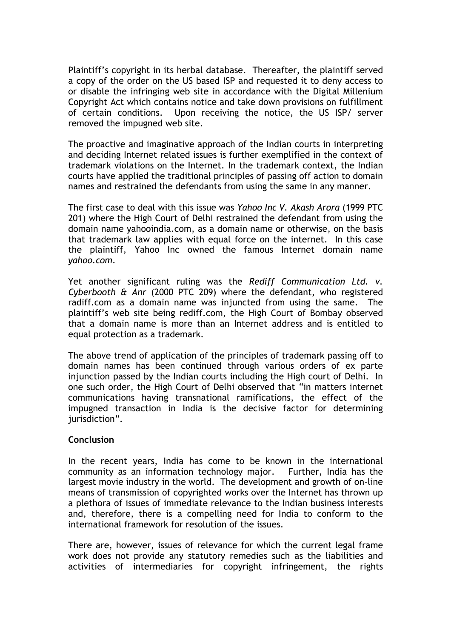Plaintiff's copyright in its herbal database. Thereafter, the plaintiff served a copy of the order on the US based ISP and requested it to deny access to or disable the infringing web site in accordance with the Digital Millenium Copyright Act which contains notice and take down provisions on fulfillment of certain conditions. Upon receiving the notice, the US ISP/ server removed the impugned web site.

The proactive and imaginative approach of the Indian courts in interpreting and deciding Internet related issues is further exemplified in the context of trademark violations on the Internet. In the trademark context, the Indian courts have applied the traditional principles of passing off action to domain names and restrained the defendants from using the same in any manner.

The first case to deal with this issue was *Yahoo Inc V. Akash Arora* (1999 PTC 201) where the High Court of Delhi restrained the defendant from using the domain name yahooindia.com, as a domain name or otherwise, on the basis that trademark law applies with equal force on the internet. In this case the plaintiff, Yahoo Inc owned the famous Internet domain name *yahoo.com*.

Yet another significant ruling was the *Rediff Communication Ltd. v. Cyberbooth & Anr* (2000 PTC 209) where the defendant, who registered radiff.com as a domain name was injuncted from using the same. The plaintiff's web site being rediff.com, the High Court of Bombay observed that a domain name is more than an Internet address and is entitled to equal protection as a trademark.

The above trend of application of the principles of trademark passing off to domain names has been continued through various orders of ex parte injunction passed by the Indian courts including the High court of Delhi. In one such order, the High Court of Delhi observed that "in matters internet communications having transnational ramifications, the effect of the impugned transaction in India is the decisive factor for determining iurisdiction".

## **Conclusion**

In the recent years, India has come to be known in the international community as an information technology major. Further, India has the largest movie industry in the world. The development and growth of on-line means of transmission of copyrighted works over the Internet has thrown up a plethora of issues of immediate relevance to the Indian business interests and, therefore, there is a compelling need for India to conform to the international framework for resolution of the issues.

There are, however, issues of relevance for which the current legal frame work does not provide any statutory remedies such as the liabilities and activities of intermediaries for copyright infringement, the rights